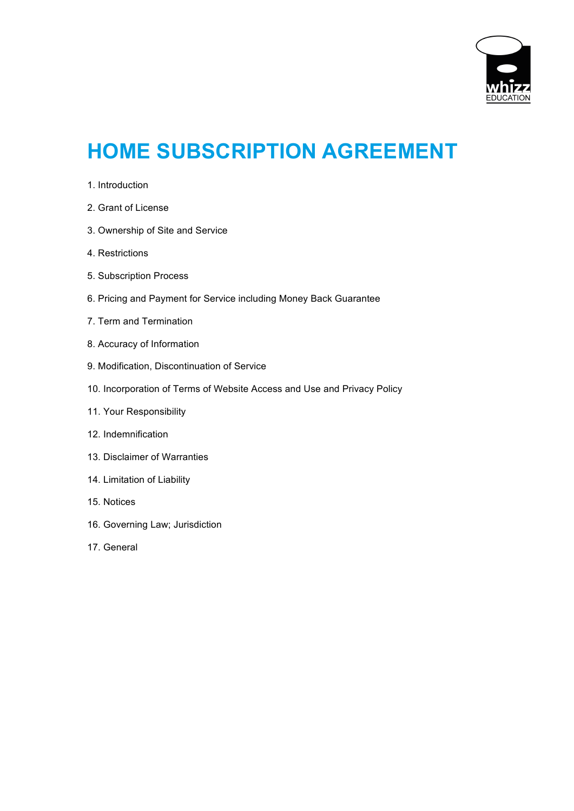

# **HOME SUBSCRIPTION AGREEMENT**

- 1. Introduction
- 2. Grant of License
- 3. Ownership of Site and Service
- 4. Restrictions
- 5. Subscription Process
- 6. Pricing and Payment for Service including Money Back Guarantee
- 7. Term and Termination
- 8. Accuracy of Information
- 9. Modification, Discontinuation of Service
- 10. Incorporation of Terms of Website Access and Use and Privacy Policy
- 11. Your Responsibility
- 12. Indemnification
- 13. Disclaimer of Warranties
- 14. Limitation of Liability
- 15. Notices
- 16. Governing Law; Jurisdiction
- 17. General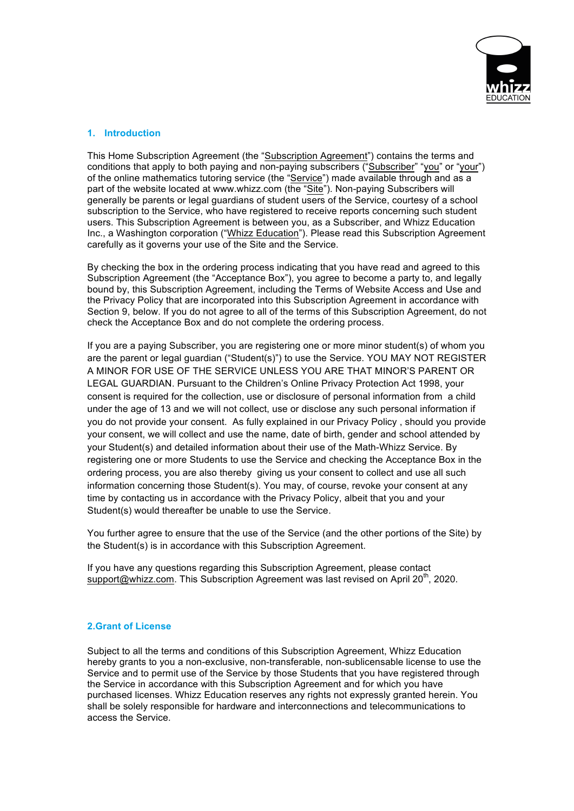

# **1. Introduction**

This Home Subscription Agreement (the "Subscription Agreement") contains the terms and conditions that apply to both paying and non-paying subscribers ("Subscriber" "you" or "your") of the online mathematics tutoring service (the "Service") made available through and as a part of the website located at www.whizz.com (the "Site"). Non-paying Subscribers will generally be parents or legal guardians of student users of the Service, courtesy of a school subscription to the Service, who have registered to receive reports concerning such student users. This Subscription Agreement is between you, as a Subscriber, and Whizz Education Inc., a Washington corporation ("Whizz Education"). Please read this Subscription Agreement carefully as it governs your use of the Site and the Service.

By checking the box in the ordering process indicating that you have read and agreed to this Subscription Agreement (the "Acceptance Box"), you agree to become a party to, and legally bound by, this Subscription Agreement, including the Terms of Website Access and Use and the Privacy Policy that are incorporated into this Subscription Agreement in accordance with Section 9, below. If you do not agree to all of the terms of this Subscription Agreement, do not check the Acceptance Box and do not complete the ordering process.

If you are a paying Subscriber, you are registering one or more minor student(s) of whom you are the parent or legal guardian ("Student(s)") to use the Service. YOU MAY NOT REGISTER A MINOR FOR USE OF THE SERVICE UNLESS YOU ARE THAT MINOR'S PARENT OR LEGAL GUARDIAN. Pursuant to the Children's Online Privacy Protection Act 1998, your consent is required for the collection, use or disclosure of personal information from a child under the age of 13 and we will not collect, use or disclose any such personal information if you do not provide your consent. As fully explained in our Privacy Policy , should you provide your consent, we will collect and use the name, date of birth, gender and school attended by your Student(s) and detailed information about their use of the Math-Whizz Service. By registering one or more Students to use the Service and checking the Acceptance Box in the ordering process, you are also thereby giving us your consent to collect and use all such information concerning those Student(s). You may, of course, revoke your consent at any time by contacting us in accordance with the Privacy Policy, albeit that you and your Student(s) would thereafter be unable to use the Service.

You further agree to ensure that the use of the Service (and the other portions of the Site) by the Student(s) is in accordance with this Subscription Agreement.

If you have any questions regarding this Subscription Agreement, please contact support@whizz.com. This Subscription Agreement was last revised on April 20<sup>th</sup>, 2020.

# **2.Grant of License**

Subject to all the terms and conditions of this Subscription Agreement, Whizz Education hereby grants to you a non-exclusive, non-transferable, non-sublicensable license to use the Service and to permit use of the Service by those Students that you have registered through the Service in accordance with this Subscription Agreement and for which you have purchased licenses. Whizz Education reserves any rights not expressly granted herein. You shall be solely responsible for hardware and interconnections and telecommunications to access the Service.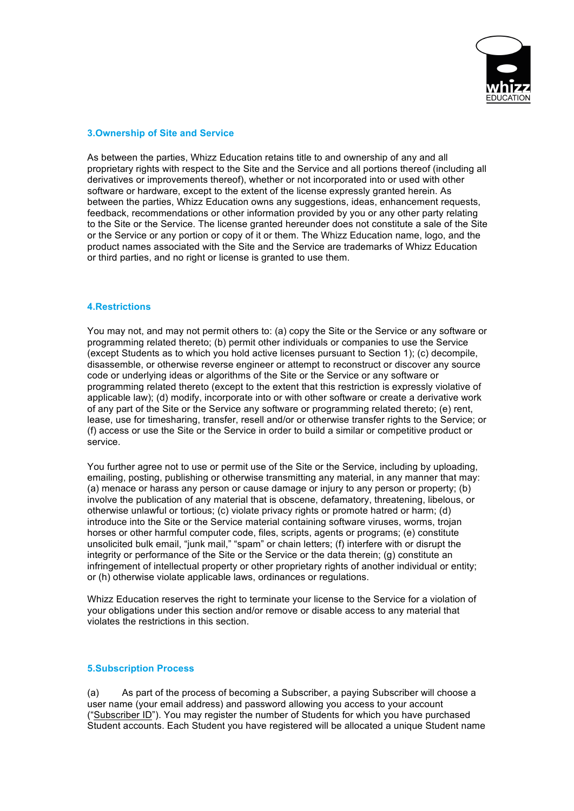

## **3.Ownership of Site and Service**

As between the parties, Whizz Education retains title to and ownership of any and all proprietary rights with respect to the Site and the Service and all portions thereof (including all derivatives or improvements thereof), whether or not incorporated into or used with other software or hardware, except to the extent of the license expressly granted herein. As between the parties, Whizz Education owns any suggestions, ideas, enhancement requests, feedback, recommendations or other information provided by you or any other party relating to the Site or the Service. The license granted hereunder does not constitute a sale of the Site or the Service or any portion or copy of it or them. The Whizz Education name, logo, and the product names associated with the Site and the Service are trademarks of Whizz Education or third parties, and no right or license is granted to use them.

#### **4.Restrictions**

You may not, and may not permit others to: (a) copy the Site or the Service or any software or programming related thereto; (b) permit other individuals or companies to use the Service (except Students as to which you hold active licenses pursuant to Section 1); (c) decompile, disassemble, or otherwise reverse engineer or attempt to reconstruct or discover any source code or underlying ideas or algorithms of the Site or the Service or any software or programming related thereto (except to the extent that this restriction is expressly violative of applicable law); (d) modify, incorporate into or with other software or create a derivative work of any part of the Site or the Service any software or programming related thereto; (e) rent, lease, use for timesharing, transfer, resell and/or or otherwise transfer rights to the Service; or (f) access or use the Site or the Service in order to build a similar or competitive product or service.

You further agree not to use or permit use of the Site or the Service, including by uploading, emailing, posting, publishing or otherwise transmitting any material, in any manner that may: (a) menace or harass any person or cause damage or injury to any person or property; (b) involve the publication of any material that is obscene, defamatory, threatening, libelous, or otherwise unlawful or tortious; (c) violate privacy rights or promote hatred or harm; (d) introduce into the Site or the Service material containing software viruses, worms, trojan horses or other harmful computer code, files, scripts, agents or programs; (e) constitute unsolicited bulk email, "junk mail," "spam" or chain letters; (f) interfere with or disrupt the integrity or performance of the Site or the Service or the data therein; (g) constitute an infringement of intellectual property or other proprietary rights of another individual or entity; or (h) otherwise violate applicable laws, ordinances or regulations.

Whizz Education reserves the right to terminate your license to the Service for a violation of your obligations under this section and/or remove or disable access to any material that violates the restrictions in this section.

#### **5.Subscription Process**

(a) As part of the process of becoming a Subscriber, a paying Subscriber will choose a user name (your email address) and password allowing you access to your account ("Subscriber ID"). You may register the number of Students for which you have purchased Student accounts. Each Student you have registered will be allocated a unique Student name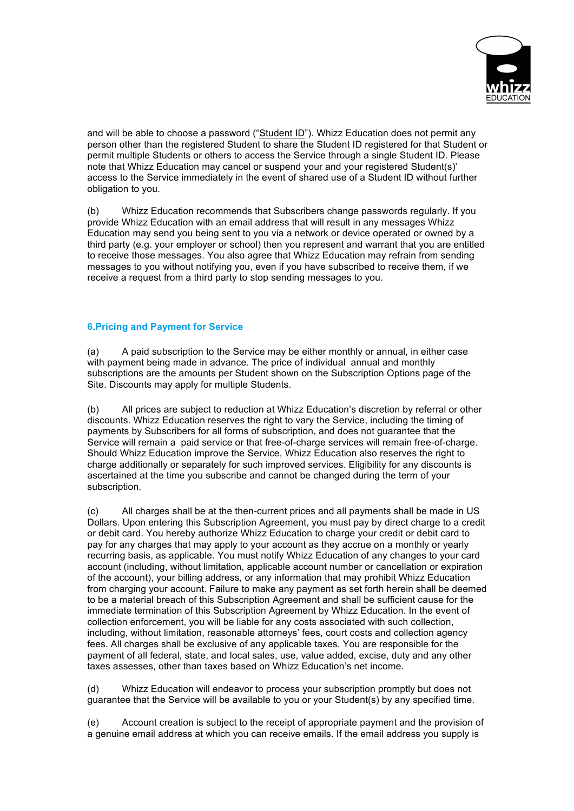

and will be able to choose a password ("Student ID"). Whizz Education does not permit any person other than the registered Student to share the Student ID registered for that Student or permit multiple Students or others to access the Service through a single Student ID. Please note that Whizz Education may cancel or suspend your and your registered Student(s)' access to the Service immediately in the event of shared use of a Student ID without further obligation to you.

(b) Whizz Education recommends that Subscribers change passwords regularly. If you provide Whizz Education with an email address that will result in any messages Whizz Education may send you being sent to you via a network or device operated or owned by a third party (e.g. your employer or school) then you represent and warrant that you are entitled to receive those messages. You also agree that Whizz Education may refrain from sending messages to you without notifying you, even if you have subscribed to receive them, if we receive a request from a third party to stop sending messages to you.

# **6.Pricing and Payment for Service**

(a) A paid subscription to the Service may be either monthly or annual, in either case with payment being made in advance. The price of individual annual and monthly subscriptions are the amounts per Student shown on the Subscription Options page of the Site. Discounts may apply for multiple Students.

(b) All prices are subject to reduction at Whizz Education's discretion by referral or other discounts. Whizz Education reserves the right to vary the Service, including the timing of payments by Subscribers for all forms of subscription, and does not guarantee that the Service will remain a paid service or that free-of-charge services will remain free-of-charge. Should Whizz Education improve the Service, Whizz Education also reserves the right to charge additionally or separately for such improved services. Eligibility for any discounts is ascertained at the time you subscribe and cannot be changed during the term of your subscription.

(c) All charges shall be at the then-current prices and all payments shall be made in US Dollars. Upon entering this Subscription Agreement, you must pay by direct charge to a credit or debit card. You hereby authorize Whizz Education to charge your credit or debit card to pay for any charges that may apply to your account as they accrue on a monthly or yearly recurring basis, as applicable. You must notify Whizz Education of any changes to your card account (including, without limitation, applicable account number or cancellation or expiration of the account), your billing address, or any information that may prohibit Whizz Education from charging your account. Failure to make any payment as set forth herein shall be deemed to be a material breach of this Subscription Agreement and shall be sufficient cause for the immediate termination of this Subscription Agreement by Whizz Education. In the event of collection enforcement, you will be liable for any costs associated with such collection, including, without limitation, reasonable attorneys' fees, court costs and collection agency fees. All charges shall be exclusive of any applicable taxes. You are responsible for the payment of all federal, state, and local sales, use, value added, excise, duty and any other taxes assesses, other than taxes based on Whizz Education's net income.

(d) Whizz Education will endeavor to process your subscription promptly but does not guarantee that the Service will be available to you or your Student(s) by any specified time.

(e) Account creation is subject to the receipt of appropriate payment and the provision of a genuine email address at which you can receive emails. If the email address you supply is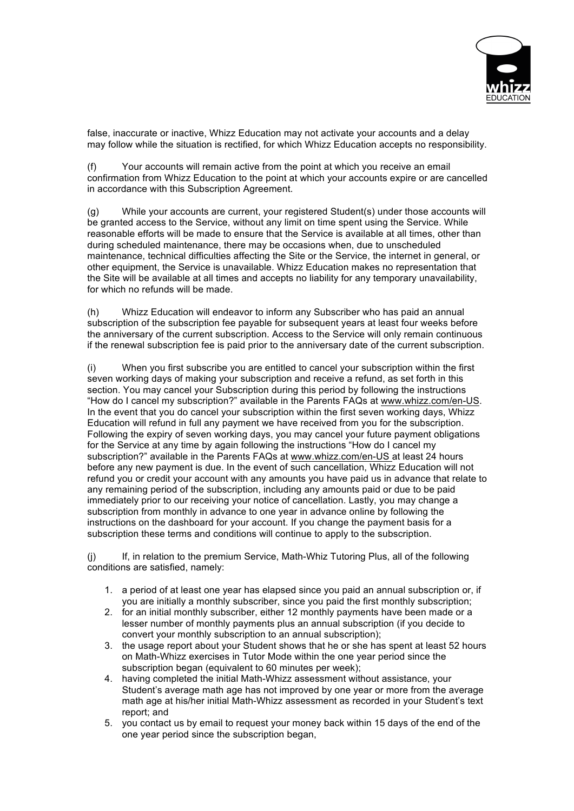

false, inaccurate or inactive, Whizz Education may not activate your accounts and a delay may follow while the situation is rectified, for which Whizz Education accepts no responsibility.

Your accounts will remain active from the point at which you receive an email confirmation from Whizz Education to the point at which your accounts expire or are cancelled in accordance with this Subscription Agreement.

(g) While your accounts are current, your registered Student(s) under those accounts will be granted access to the Service, without any limit on time spent using the Service. While reasonable efforts will be made to ensure that the Service is available at all times, other than during scheduled maintenance, there may be occasions when, due to unscheduled maintenance, technical difficulties affecting the Site or the Service, the internet in general, or other equipment, the Service is unavailable. Whizz Education makes no representation that the Site will be available at all times and accepts no liability for any temporary unavailability, for which no refunds will be made.

(h) Whizz Education will endeavor to inform any Subscriber who has paid an annual subscription of the subscription fee payable for subsequent years at least four weeks before the anniversary of the current subscription. Access to the Service will only remain continuous if the renewal subscription fee is paid prior to the anniversary date of the current subscription.

(i) When you first subscribe you are entitled to cancel your subscription within the first seven working days of making your subscription and receive a refund, as set forth in this section. You may cancel your Subscription during this period by following the instructions "How do I cancel my subscription?" available in the Parents FAQs at www.whizz.com/en-US. In the event that you do cancel your subscription within the first seven working days, Whizz Education will refund in full any payment we have received from you for the subscription. Following the expiry of seven working days, you may cancel your future payment obligations for the Service at any time by again following the instructions "How do I cancel my subscription?" available in the Parents FAQs at www.whizz.com/en-US at least 24 hours before any new payment is due. In the event of such cancellation, Whizz Education will not refund you or credit your account with any amounts you have paid us in advance that relate to any remaining period of the subscription, including any amounts paid or due to be paid immediately prior to our receiving your notice of cancellation. Lastly, you may change a subscription from monthly in advance to one year in advance online by following the instructions on the dashboard for your account. If you change the payment basis for a subscription these terms and conditions will continue to apply to the subscription.

If, in relation to the premium Service, Math-Whiz Tutoring Plus, all of the following conditions are satisfied, namely:

- 1. a period of at least one year has elapsed since you paid an annual subscription or, if you are initially a monthly subscriber, since you paid the first monthly subscription;
- 2. for an initial monthly subscriber, either 12 monthly payments have been made or a lesser number of monthly payments plus an annual subscription (if you decide to convert your monthly subscription to an annual subscription);
- 3. the usage report about your Student shows that he or she has spent at least 52 hours on Math-Whizz exercises in Tutor Mode within the one year period since the subscription began (equivalent to 60 minutes per week);
- 4. having completed the initial Math-Whizz assessment without assistance, your Student's average math age has not improved by one year or more from the average math age at his/her initial Math-Whizz assessment as recorded in your Student's text report; and
- 5. you contact us by email to request your money back within 15 days of the end of the one year period since the subscription began,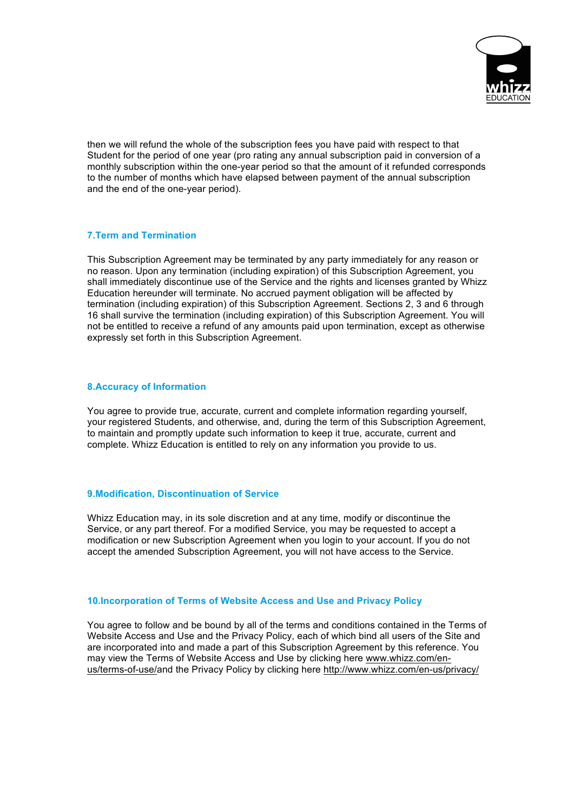

then we will refund the whole of the subscription fees you have paid with respect to that Student for the period of one year (pro rating any annual subscription paid in conversion of a monthly subscription within the one-year period so that the amount of it refunded corresponds to the number of months which have elapsed between payment of the annual subscription and the end of the one-year period).

## **7.Term and Termination**

This Subscription Agreement may be terminated by any party immediately for any reason or no reason. Upon any termination (including expiration) of this Subscription Agreement, you shall immediately discontinue use of the Service and the rights and licenses granted by Whizz Education hereunder will terminate. No accrued payment obligation will be affected by termination (including expiration) of this Subscription Agreement. Sections 2, 3 and 6 through 16 shall survive the termination (including expiration) of this Subscription Agreement. You will not be entitled to receive a refund of any amounts paid upon termination, except as otherwise expressly set forth in this Subscription Agreement.

## **8.Accuracy of Information**

You agree to provide true, accurate, current and complete information regarding yourself, your registered Students, and otherwise, and, during the term of this Subscription Agreement, to maintain and promptly update such information to keep it true, accurate, current and complete. Whizz Education is entitled to rely on any information you provide to us.

## **9.Modification, Discontinuation of Service**

Whizz Education may, in its sole discretion and at any time, modify or discontinue the Service, or any part thereof. For a modified Service, you may be requested to accept a modification or new Subscription Agreement when you login to your account. If you do not accept the amended Subscription Agreement, you will not have access to the Service.

# **10.Incorporation of Terms of Website Access and Use and Privacy Policy**

You agree to follow and be bound by all of the terms and conditions contained in the Terms of Website Access and Use and the Privacy Policy, each of which bind all users of the Site and are incorporated into and made a part of this Subscription Agreement by this reference. You may view the Terms of Website Access and Use by clicking here www.whizz.com/enus/terms-of-use/and the Privacy Policy by clicking here http://www.whizz.com/en-us/privacy/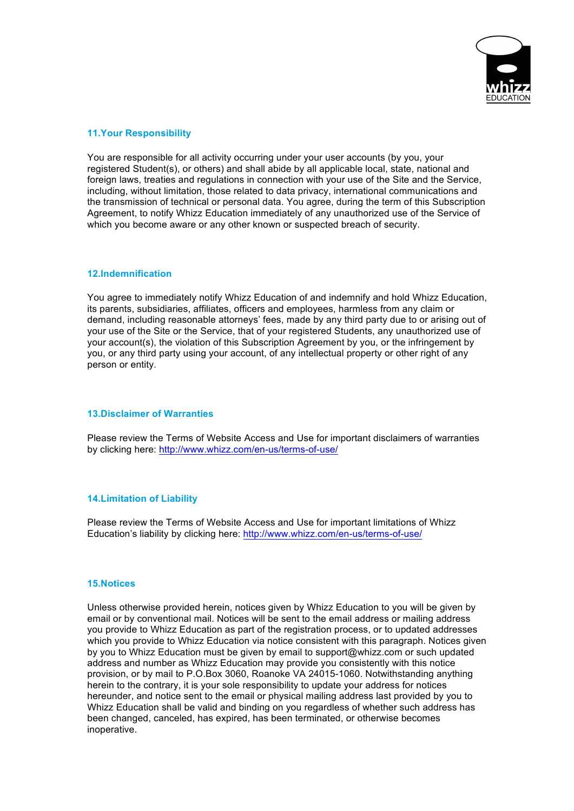

## **11.Your Responsibility**

You are responsible for all activity occurring under your user accounts (by you, your registered Student(s), or others) and shall abide by all applicable local, state, national and foreign laws, treaties and regulations in connection with your use of the Site and the Service, including, without limitation, those related to data privacy, international communications and the transmission of technical or personal data. You agree, during the term of this Subscription Agreement, to notify Whizz Education immediately of any unauthorized use of the Service of which you become aware or any other known or suspected breach of security.

#### **12.Indemnification**

You agree to immediately notify Whizz Education of and indemnify and hold Whizz Education, its parents, subsidiaries, affiliates, officers and employees, harmless from any claim or demand, including reasonable attorneys' fees, made by any third party due to or arising out of your use of the Site or the Service, that of your registered Students, any unauthorized use of your account(s), the violation of this Subscription Agreement by you, or the infringement by you, or any third party using your account, of any intellectual property or other right of any person or entity.

## **13.Disclaimer of Warranties**

Please review the Terms of Website Access and Use for important disclaimers of warranties by clicking here: http://www.whizz.com/en-us/terms-of-use/

## **14.Limitation of Liability**

Please review the Terms of Website Access and Use for important limitations of Whizz Education's liability by clicking here: http://www.whizz.com/en-us/terms-of-use/

#### **15.Notices**

Unless otherwise provided herein, notices given by Whizz Education to you will be given by email or by conventional mail. Notices will be sent to the email address or mailing address you provide to Whizz Education as part of the registration process, or to updated addresses which you provide to Whizz Education via notice consistent with this paragraph. Notices given by you to Whizz Education must be given by email to support@whizz.com or such updated address and number as Whizz Education may provide you consistently with this notice provision, or by mail to P.O.Box 3060, Roanoke VA 24015-1060. Notwithstanding anything herein to the contrary, it is your sole responsibility to update your address for notices hereunder, and notice sent to the email or physical mailing address last provided by you to Whizz Education shall be valid and binding on you regardless of whether such address has been changed, canceled, has expired, has been terminated, or otherwise becomes inoperative.